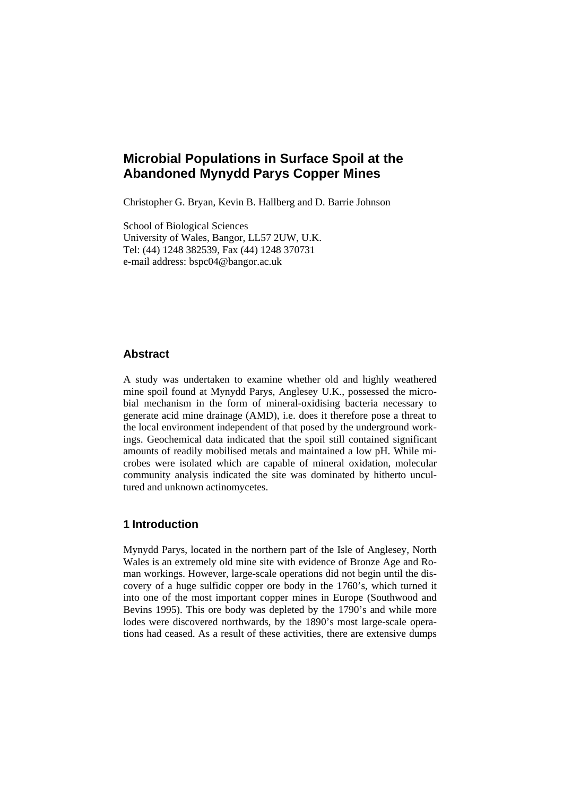# **Microbial Populations in Surface Spoil at the Abandoned Mynydd Parys Copper Mines**

Christopher G. Bryan, Kevin B. Hallberg and D. Barrie Johnson

School of Biological Sciences University of Wales, Bangor, LL57 2UW, U.K. Tel: (44) 1248 382539, Fax (44) 1248 370731 e-mail address: bspc04@bangor.ac.uk

## **Abstract**

A study was undertaken to examine whether old and highly weathered mine spoil found at Mynydd Parys, Anglesey U.K., possessed the microbial mechanism in the form of mineral-oxidising bacteria necessary to generate acid mine drainage (AMD), i.e. does it therefore pose a threat to the local environment independent of that posed by the underground workings. Geochemical data indicated that the spoil still contained significant amounts of readily mobilised metals and maintained a low pH. While microbes were isolated which are capable of mineral oxidation, molecular community analysis indicated the site was dominated by hitherto uncultured and unknown actinomycetes.

## **1 Introduction**

Mynydd Parys, located in the northern part of the Isle of Anglesey, North Wales is an extremely old mine site with evidence of Bronze Age and Roman workings. However, large-scale operations did not begin until the discovery of a huge sulfidic copper ore body in the 1760's, which turned it into one of the most important copper mines in Europe (Southwood and Bevins 1995). This ore body was depleted by the 1790's and while more lodes were discovered northwards, by the 1890's most large-scale operations had ceased. As a result of these activities, there are extensive dumps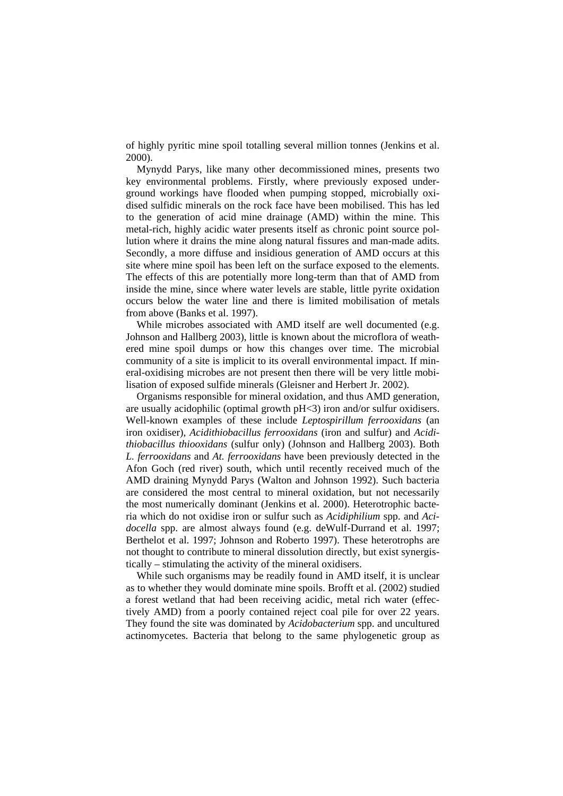of highly pyritic mine spoil totalling several million tonnes (Jenkins et al. 2000).

Mynydd Parys, like many other decommissioned mines, presents two key environmental problems. Firstly, where previously exposed underground workings have flooded when pumping stopped, microbially oxidised sulfidic minerals on the rock face have been mobilised. This has led to the generation of acid mine drainage (AMD) within the mine. This metal-rich, highly acidic water presents itself as chronic point source pollution where it drains the mine along natural fissures and man-made adits. Secondly, a more diffuse and insidious generation of AMD occurs at this site where mine spoil has been left on the surface exposed to the elements. The effects of this are potentially more long-term than that of AMD from inside the mine, since where water levels are stable, little pyrite oxidation occurs below the water line and there is limited mobilisation of metals from above (Banks et al. 1997).

While microbes associated with AMD itself are well documented (e.g. Johnson and Hallberg 2003), little is known about the microflora of weathered mine spoil dumps or how this changes over time. The microbial community of a site is implicit to its overall environmental impact. If mineral-oxidising microbes are not present then there will be very little mobilisation of exposed sulfide minerals (Gleisner and Herbert Jr. 2002).

Organisms responsible for mineral oxidation, and thus AMD generation, are usually acidophilic (optimal growth pH<3) iron and/or sulfur oxidisers. Well-known examples of these include *Leptospirillum ferrooxidans* (an iron oxidiser), *Acidithiobacillus ferrooxidans* (iron and sulfur) and *Acidithiobacillus thiooxidans* (sulfur only) (Johnson and Hallberg 2003). Both *L. ferrooxidans* and *At. ferrooxidans* have been previously detected in the Afon Goch (red river) south, which until recently received much of the AMD draining Mynydd Parys (Walton and Johnson 1992). Such bacteria are considered the most central to mineral oxidation, but not necessarily the most numerically dominant (Jenkins et al. 2000). Heterotrophic bacteria which do not oxidise iron or sulfur such as *Acidiphilium* spp. and *Acidocella* spp. are almost always found (e.g. deWulf-Durrand et al. 1997; Berthelot et al. 1997; Johnson and Roberto 1997). These heterotrophs are not thought to contribute to mineral dissolution directly, but exist synergistically – stimulating the activity of the mineral oxidisers.

While such organisms may be readily found in AMD itself, it is unclear as to whether they would dominate mine spoils. Brofft et al. (2002) studied a forest wetland that had been receiving acidic, metal rich water (effectively AMD) from a poorly contained reject coal pile for over 22 years. They found the site was dominated by *Acidobacterium* spp. and uncultured actinomycetes. Bacteria that belong to the same phylogenetic group as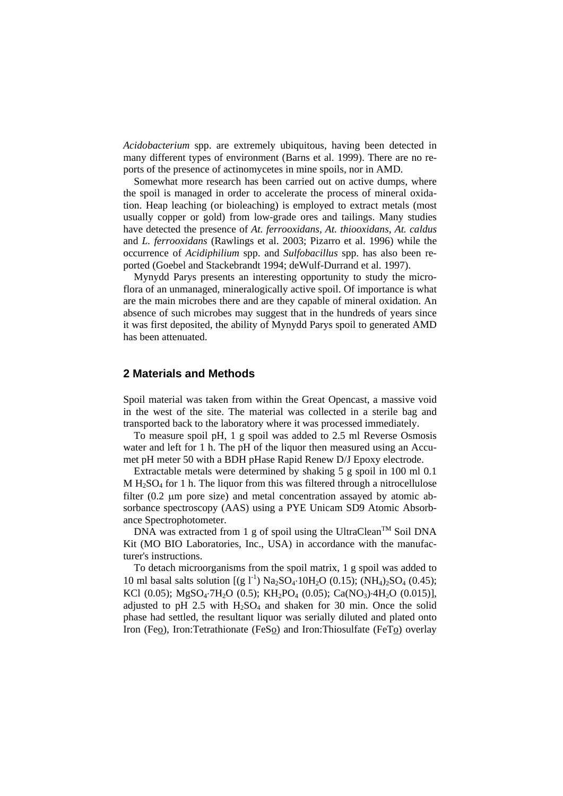*Acidobacterium* spp. are extremely ubiquitous, having been detected in many different types of environment (Barns et al. 1999). There are no reports of the presence of actinomycetes in mine spoils, nor in AMD.

Somewhat more research has been carried out on active dumps, where the spoil is managed in order to accelerate the process of mineral oxidation. Heap leaching (or bioleaching) is employed to extract metals (most usually copper or gold) from low-grade ores and tailings. Many studies have detected the presence of *At. ferrooxidans, At. thiooxidans, At. caldus* and *L. ferrooxidans* (Rawlings et al. 2003; Pizarro et al. 1996) while the occurrence of *Acidiphilium* spp. and *Sulfobacillus* spp. has also been reported (Goebel and Stackebrandt 1994; deWulf-Durrand et al. 1997).

Mynydd Parys presents an interesting opportunity to study the microflora of an unmanaged, mineralogically active spoil. Of importance is what are the main microbes there and are they capable of mineral oxidation. An absence of such microbes may suggest that in the hundreds of years since it was first deposited, the ability of Mynydd Parys spoil to generated AMD has been attenuated.

#### **2 Materials and Methods**

Spoil material was taken from within the Great Opencast, a massive void in the west of the site. The material was collected in a sterile bag and transported back to the laboratory where it was processed immediately.

To measure spoil pH, 1 g spoil was added to 2.5 ml Reverse Osmosis water and left for 1 h. The pH of the liquor then measured using an Accumet pH meter 50 with a BDH pHase Rapid Renew D/J Epoxy electrode.

Extractable metals were determined by shaking 5 g spoil in 100 ml 0.1  $M H<sub>2</sub>SO<sub>4</sub>$  for 1 h. The liquor from this was filtered through a nitrocellulose filter (0.2 μm pore size) and metal concentration assayed by atomic absorbance spectroscopy (AAS) using a PYE Unicam SD9 Atomic Absorbance Spectrophotometer.

DNA was extracted from 1 g of spoil using the UltraClean<sup>TM</sup> Soil DNA Kit (MO BIO Laboratories, Inc., USA) in accordance with the manufacturer's instructions.

To detach microorganisms from the spoil matrix, 1 g spoil was added to 10 ml basal salts solution  $[(g I^{-1}) Na<sub>2</sub>SO<sub>4</sub>·10H<sub>2</sub>O (0.15)); (NH<sub>4</sub>)<sub>2</sub>SO<sub>4</sub> (0.45);$ KCl (0.05); MgSO<sub>4</sub>⋅7H<sub>2</sub>O (0.5); KH<sub>2</sub>PO<sub>4</sub> (0.05); Ca(NO<sub>3</sub>)⋅4H<sub>2</sub>O (0.015)], adjusted to pH 2.5 with  $H_2SO_4$  and shaken for 30 min. Once the solid phase had settled, the resultant liquor was serially diluted and plated onto Iron (Feo), Iron:Tetrathionate (FeSo) and Iron:Thiosulfate (FeTo) overlay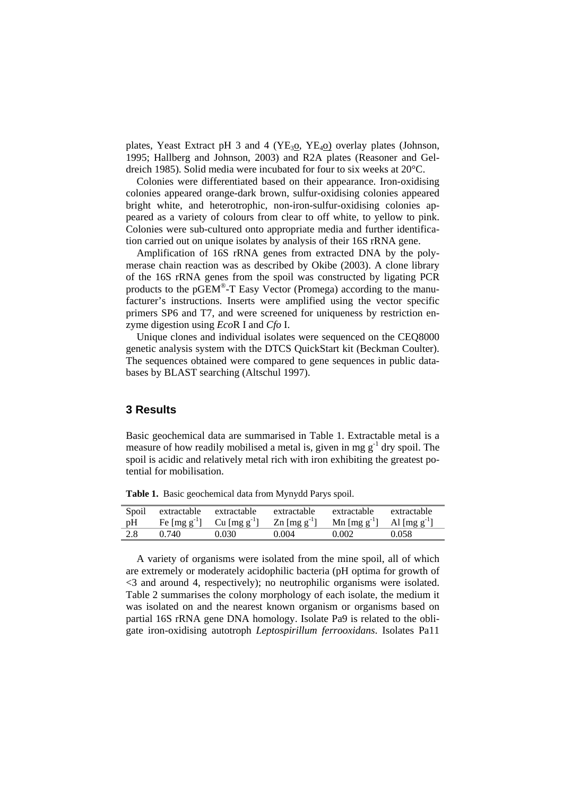plates, Yeast Extract pH 3 and 4 (YE<sub>3</sub>o, YE<sub>4</sub>o) overlay plates (Johnson, 1995; Hallberg and Johnson, 2003) and R2A plates (Reasoner and Geldreich 1985). Solid media were incubated for four to six weeks at 20°C.

Colonies were differentiated based on their appearance. Iron-oxidising colonies appeared orange-dark brown, sulfur-oxidising colonies appeared bright white, and heterotrophic, non-iron-sulfur-oxidising colonies appeared as a variety of colours from clear to off white, to yellow to pink. Colonies were sub-cultured onto appropriate media and further identification carried out on unique isolates by analysis of their 16S rRNA gene.

Amplification of 16S rRNA genes from extracted DNA by the polymerase chain reaction was as described by Okibe (2003). A clone library of the 16S rRNA genes from the spoil was constructed by ligating PCR products to the pGEM®-T Easy Vector (Promega) according to the manufacturer's instructions. Inserts were amplified using the vector specific primers SP6 and T7, and were screened for uniqueness by restriction enzyme digestion using *Eco*R I and *Cfo* I.

Unique clones and individual isolates were sequenced on the CEQ8000 genetic analysis system with the DTCS QuickStart kit (Beckman Coulter). The sequences obtained were compared to gene sequences in public databases by BLAST searching (Altschul 1997).

## **3 Results**

Basic geochemical data are summarised in Table 1. Extractable metal is a measure of how readily mobilised a metal is, given in mg  $g^{-1}$  dry spoil. The spoil is acidic and relatively metal rich with iron exhibiting the greatest potential for mobilisation.

|     | Spoil extractable extractable |       | extractable | extractable                                                                                                                                                        | extractable |
|-----|-------------------------------|-------|-------------|--------------------------------------------------------------------------------------------------------------------------------------------------------------------|-------------|
|     |                               |       |             | pH Fe $\text{[mg g}^{-1} \text{]}$ Cu $\text{[mg g}^{-1} \text{]}$ Zn $\text{[mg g}^{-1} \text{]}$ Mn $\text{[mg g}^{-1} \text{]}$ Al $\text{[mg g}^{-1} \text{]}$ |             |
| 2.8 | 0.740                         | 0.030 | 0.004       | 0.002                                                                                                                                                              | 0.058       |

**Table 1.** Basic geochemical data from Mynydd Parys spoil.

A variety of organisms were isolated from the mine spoil, all of which are extremely or moderately acidophilic bacteria (pH optima for growth of <3 and around 4, respectively); no neutrophilic organisms were isolated. Table 2 summarises the colony morphology of each isolate, the medium it was isolated on and the nearest known organism or organisms based on partial 16S rRNA gene DNA homology. Isolate Pa9 is related to the obligate iron-oxidising autotroph *Leptospirillum ferrooxidans*. Isolates Pa11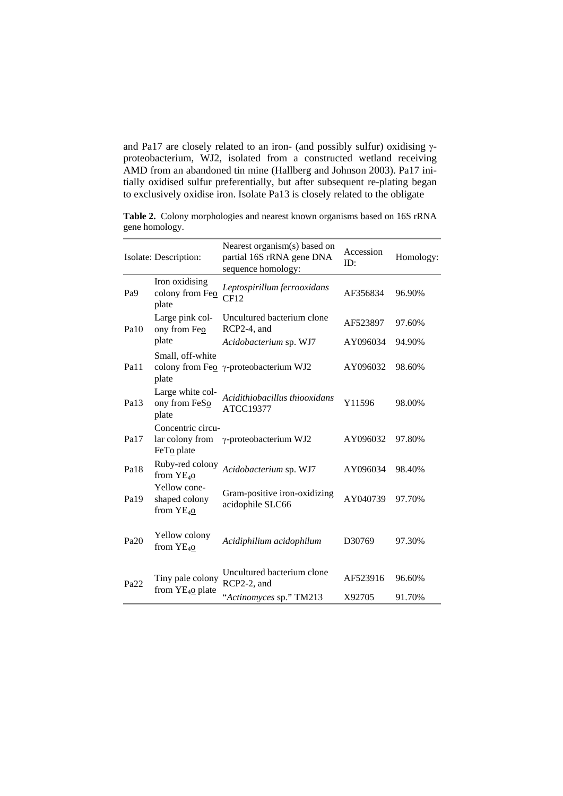and Pa17 are closely related to an iron- (and possibly sulfur) oxidising γproteobacterium, WJ2, isolated from a constructed wetland receiving AMD from an abandoned tin mine (Hallberg and Johnson 2003). Pa17 initially oxidised sulfur preferentially, but after subsequent re-plating began to exclusively oxidise iron. Isolate Pa13 is closely related to the obligate

**Table 2.** Colony morphologies and nearest known organisms based on 16S rRNA gene homology.

|                  | Isolate: Description:                              | Nearest organism(s) based on<br>partial 16S rRNA gene DNA<br>sequence homology: | Accession<br>ID: | Homology: |
|------------------|----------------------------------------------------|---------------------------------------------------------------------------------|------------------|-----------|
| Pa <sub>9</sub>  | Iron oxidising<br>colony from Feo<br>plate         | Leptospirillum ferrooxidans<br>CF12                                             | AF356834         | 96.90%    |
| Pa10             | Large pink col-<br>ony from Feo                    | Uncultured bacterium clone<br>RCP2-4, and                                       | AF523897         | 97.60%    |
|                  | plate                                              | Acidobacterium sp. WJ7                                                          | AY096034         | 94.90%    |
| Pa11             | Small, off-white<br>plate                          | colony from Feo γ-proteobacterium WJ2                                           | AY096032         | 98.60%    |
| Pa13             | Large white col-<br>ony from FeSo<br>plate         | Acidithiobacillus thiooxidans<br>ATCC19377                                      | Y11596           | 98.00%    |
| Pa17             | Concentric circu-<br>lar colony from<br>FeTo plate | γ-proteobacterium WJ2                                                           | AY096032         | 97.80%    |
| Pa18             | Ruby-red colony<br>from YE <sub>40</sub>           | Acidobacterium sp. WJ7                                                          | AY096034         | 98.40%    |
| Pa <sub>19</sub> | Yellow cone-<br>shaped colony<br>from $YE_{40}$    | Gram-positive iron-oxidizing<br>acidophile SLC66                                | AY040739         | 97.70%    |
| Pa20             | Yellow colony<br>from $YE40$                       | Acidiphilium acidophilum                                                        | D30769           | 97.30%    |
| Pa <sub>22</sub> | Tiny pale colony<br>from $YE_{40}$ plate           | Uncultured bacterium clone<br>RCP2-2, and                                       | AF523916         | 96.60%    |
|                  |                                                    | "Actinomyces sp." TM213                                                         | X92705           | 91.70%    |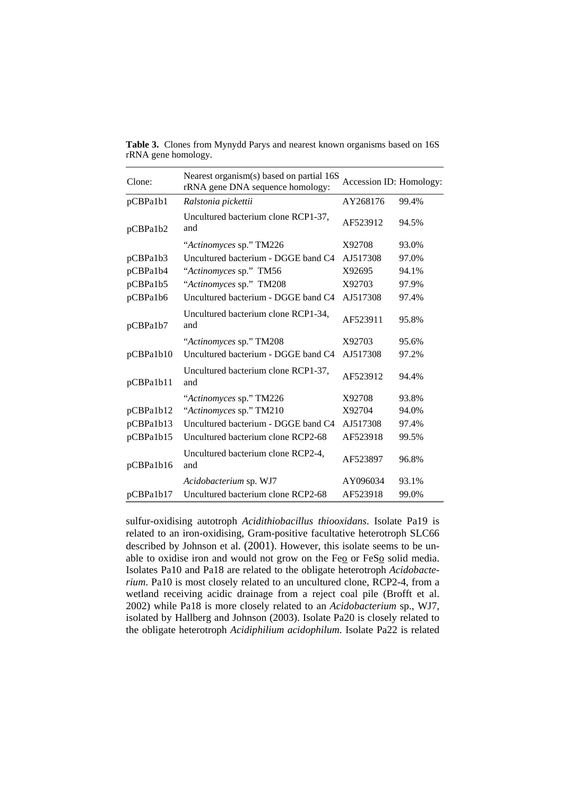| Clone:    | Nearest organism(s) based on partial 16S<br>rRNA gene DNA sequence homology: | Accession ID: Homology: |       |
|-----------|------------------------------------------------------------------------------|-------------------------|-------|
| pCBPa1b1  | Ralstonia pickettii                                                          | AY268176                | 99.4% |
| pCBPa1b2  | Uncultured bacterium clone RCP1-37,<br>and                                   | AF523912                | 94.5% |
|           | "Actinomyces sp." TM226                                                      | X92708                  | 93.0% |
| pCBPa1b3  | Uncultured bacterium - DGGE band C4                                          | AJ517308                | 97.0% |
| pCBPa1b4  | "Actinomyces sp." TM56                                                       | X92695                  | 94.1% |
| pCBPa1b5  | "Actinomyces sp." TM208                                                      | X92703                  | 97.9% |
| pCBPa1b6  | Uncultured bacterium - DGGE band C4                                          | AJ517308                | 97.4% |
| pCBPa1b7  | Uncultured bacterium clone RCP1-34,<br>and                                   | AF523911                | 95.8% |
|           | "Actinomyces sp." TM208                                                      | X92703                  | 95.6% |
| pCBPa1b10 | Uncultured bacterium - DGGE band C4                                          | AJ517308                | 97.2% |
| pCBPa1b11 | Uncultured bacterium clone RCP1-37,<br>and                                   | AF523912                | 94.4% |
|           | "Actinomyces sp." TM226                                                      | X92708                  | 93.8% |
| pCBPa1b12 | "Actinomyces sp." TM210                                                      | X92704                  | 94.0% |
| pCBPa1b13 | Uncultured bacterium - DGGE band C4                                          | AJ517308                | 97.4% |
| pCBPa1b15 | Uncultured bacterium clone RCP2-68                                           | AF523918                | 99.5% |
| pCBPa1b16 | Uncultured bacterium clone RCP2-4,<br>and                                    | AF523897                | 96.8% |
|           | Acidobacterium sp. WJ7                                                       | AY096034                | 93.1% |
| pCBPa1b17 | Uncultured bacterium clone RCP2-68                                           | AF523918                | 99.0% |

**Table 3.** Clones from Mynydd Parys and nearest known organisms based on 16S rRNA gene homology.

sulfur-oxidising autotroph *Acidithiobacillus thiooxidans*. Isolate Pa19 is related to an iron-oxidising, Gram-positive facultative heterotroph SLC66 described by Johnson et al. (2001). However, this isolate seems to be unable to oxidise iron and would not grow on the Feo or FeSo solid media. Isolates Pa10 and Pa18 are related to the obligate heterotroph *Acidobacterium*. Pa10 is most closely related to an uncultured clone, RCP2-4, from a wetland receiving acidic drainage from a reject coal pile (Brofft et al. 2002) while Pa18 is more closely related to an *Acidobacterium* sp., WJ7, isolated by Hallberg and Johnson (2003). Isolate Pa20 is closely related to the obligate heterotroph *Acidiphilium acidophilum*. Isolate Pa22 is related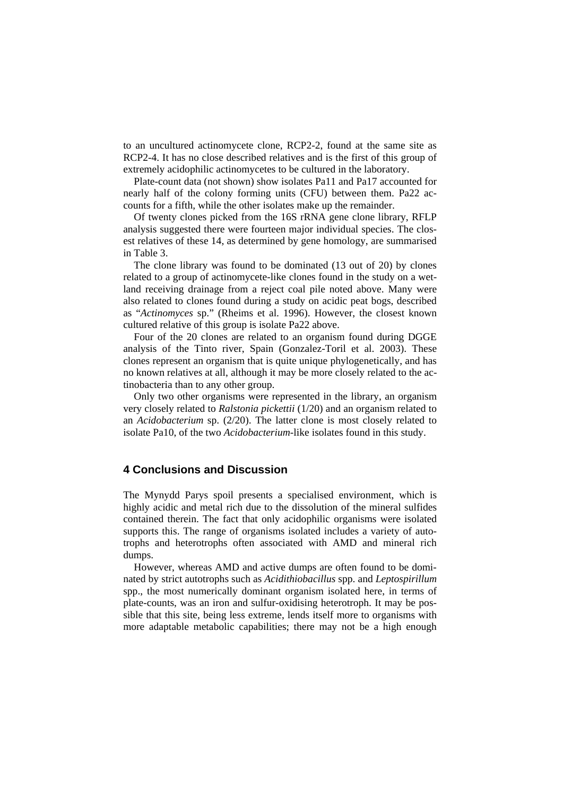to an uncultured actinomycete clone, RCP2-2, found at the same site as RCP2-4. It has no close described relatives and is the first of this group of extremely acidophilic actinomycetes to be cultured in the laboratory.

Plate-count data (not shown) show isolates Pa11 and Pa17 accounted for nearly half of the colony forming units (CFU) between them. Pa22 accounts for a fifth, while the other isolates make up the remainder.

Of twenty clones picked from the 16S rRNA gene clone library, RFLP analysis suggested there were fourteen major individual species. The closest relatives of these 14, as determined by gene homology, are summarised in Table 3.

The clone library was found to be dominated (13 out of 20) by clones related to a group of actinomycete-like clones found in the study on a wetland receiving drainage from a reject coal pile noted above. Many were also related to clones found during a study on acidic peat bogs, described as "*Actinomyces* sp." (Rheims et al. 1996). However, the closest known cultured relative of this group is isolate Pa22 above.

Four of the 20 clones are related to an organism found during DGGE analysis of the Tinto river, Spain (Gonzalez-Toril et al. 2003). These clones represent an organism that is quite unique phylogenetically, and has no known relatives at all, although it may be more closely related to the actinobacteria than to any other group.

Only two other organisms were represented in the library, an organism very closely related to *Ralstonia pickettii* (1/20) and an organism related to an *Acidobacterium* sp. (2/20). The latter clone is most closely related to isolate Pa10, of the two *Acidobacterium*-like isolates found in this study.

### **4 Conclusions and Discussion**

The Mynydd Parys spoil presents a specialised environment, which is highly acidic and metal rich due to the dissolution of the mineral sulfides contained therein. The fact that only acidophilic organisms were isolated supports this. The range of organisms isolated includes a variety of autotrophs and heterotrophs often associated with AMD and mineral rich dumps.

However, whereas AMD and active dumps are often found to be dominated by strict autotrophs such as *Acidithiobacillus* spp. and *Leptospirillum* spp., the most numerically dominant organism isolated here, in terms of plate-counts, was an iron and sulfur-oxidising heterotroph. It may be possible that this site, being less extreme, lends itself more to organisms with more adaptable metabolic capabilities; there may not be a high enough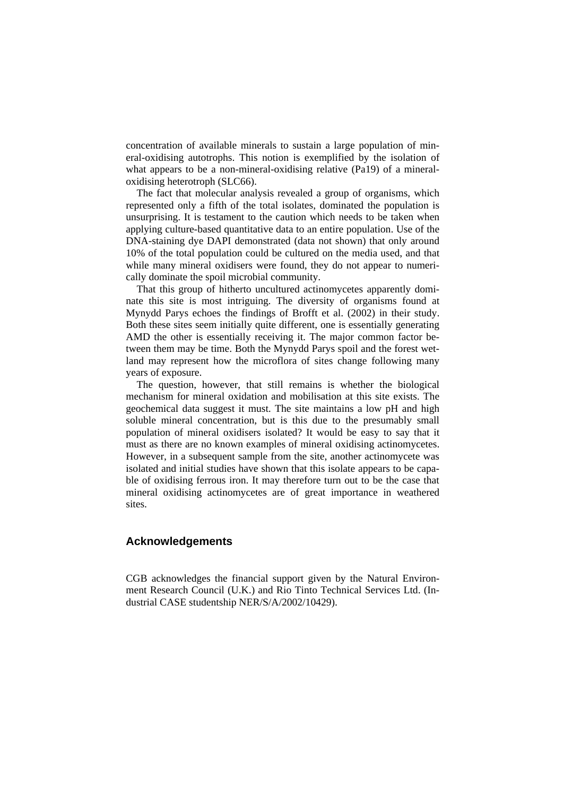concentration of available minerals to sustain a large population of mineral-oxidising autotrophs. This notion is exemplified by the isolation of what appears to be a non-mineral-oxidising relative (Pa19) of a mineraloxidising heterotroph (SLC66).

The fact that molecular analysis revealed a group of organisms, which represented only a fifth of the total isolates, dominated the population is unsurprising. It is testament to the caution which needs to be taken when applying culture-based quantitative data to an entire population. Use of the DNA-staining dye DAPI demonstrated (data not shown) that only around 10% of the total population could be cultured on the media used, and that while many mineral oxidisers were found, they do not appear to numerically dominate the spoil microbial community.

That this group of hitherto uncultured actinomycetes apparently dominate this site is most intriguing. The diversity of organisms found at Mynydd Parys echoes the findings of Brofft et al. (2002) in their study. Both these sites seem initially quite different, one is essentially generating AMD the other is essentially receiving it. The major common factor between them may be time. Both the Mynydd Parys spoil and the forest wetland may represent how the microflora of sites change following many years of exposure.

The question, however, that still remains is whether the biological mechanism for mineral oxidation and mobilisation at this site exists. The geochemical data suggest it must. The site maintains a low pH and high soluble mineral concentration, but is this due to the presumably small population of mineral oxidisers isolated? It would be easy to say that it must as there are no known examples of mineral oxidising actinomycetes. However, in a subsequent sample from the site, another actinomycete was isolated and initial studies have shown that this isolate appears to be capable of oxidising ferrous iron. It may therefore turn out to be the case that mineral oxidising actinomycetes are of great importance in weathered sites.

### **Acknowledgements**

CGB acknowledges the financial support given by the Natural Environment Research Council (U.K.) and Rio Tinto Technical Services Ltd. (Industrial CASE studentship NER/S/A/2002/10429).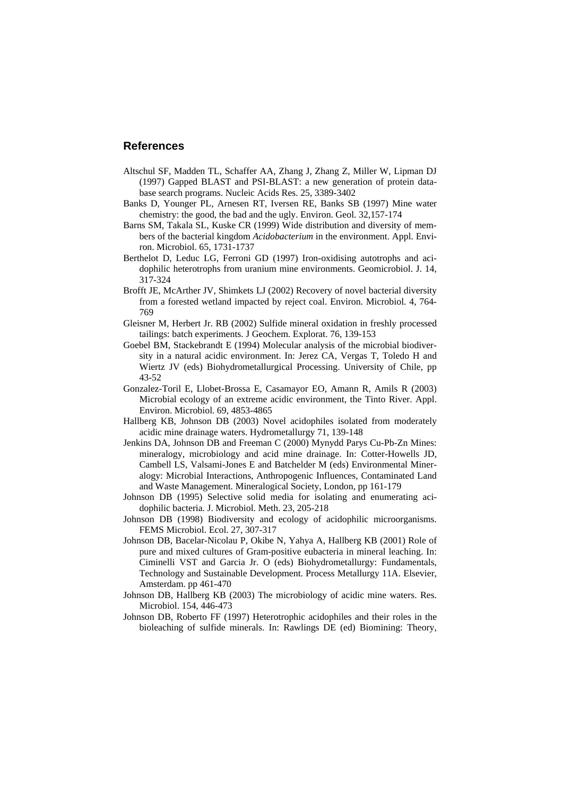#### **References**

- Altschul SF, Madden TL, Schaffer AA, Zhang J, Zhang Z, Miller W, Lipman DJ (1997) Gapped BLAST and PSI-BLAST: a new generation of protein database search programs. Nucleic Acids Res. 25, 3389-3402
- Banks D, Younger PL, Arnesen RT, Iversen RE, Banks SB (1997) Mine water chemistry: the good, the bad and the ugly. Environ. Geol. 32,157-174
- Barns SM, Takala SL, Kuske CR (1999) Wide distribution and diversity of members of the bacterial kingdom *Acidobacterium* in the environment. Appl. Environ. Microbiol. 65, 1731-1737
- Berthelot D, Leduc LG, Ferroni GD (1997) Iron-oxidising autotrophs and acidophilic heterotrophs from uranium mine environments. Geomicrobiol. J. 14, 317-324
- Brofft JE, McArther JV, Shimkets LJ (2002) Recovery of novel bacterial diversity from a forested wetland impacted by reject coal. Environ. Microbiol. 4, 764- 769
- Gleisner M, Herbert Jr. RB (2002) Sulfide mineral oxidation in freshly processed tailings: batch experiments. J Geochem. Explorat. 76, 139-153
- Goebel BM, Stackebrandt E (1994) Molecular analysis of the microbial biodiversity in a natural acidic environment. In: Jerez CA, Vergas T, Toledo H and Wiertz JV (eds) Biohydrometallurgical Processing. University of Chile, pp 43-52
- Gonzalez-Toril E, Llobet-Brossa E, Casamayor EO, Amann R, Amils R (2003) Microbial ecology of an extreme acidic environment, the Tinto River. Appl. Environ. Microbiol. 69, 4853-4865
- Hallberg KB, Johnson DB (2003) Novel acidophiles isolated from moderately acidic mine drainage waters. Hydrometallurgy 71, 139-148
- Jenkins DA, Johnson DB and Freeman C (2000) Mynydd Parys Cu-Pb-Zn Mines: mineralogy, microbiology and acid mine drainage. In: Cotter-Howells JD, Cambell LS, Valsami-Jones E and Batchelder M (eds) Environmental Mineralogy: Microbial Interactions, Anthropogenic Influences, Contaminated Land and Waste Management. Mineralogical Society, London, pp 161-179
- Johnson DB (1995) Selective solid media for isolating and enumerating acidophilic bacteria. J. Microbiol. Meth. 23, 205-218
- Johnson DB (1998) Biodiversity and ecology of acidophilic microorganisms. FEMS Microbiol. Ecol. 27, 307-317
- Johnson DB, Bacelar-Nicolau P, Okibe N, Yahya A, Hallberg KB (2001) Role of pure and mixed cultures of Gram-positive eubacteria in mineral leaching. In: Ciminelli VST and Garcia Jr. O (eds) Biohydrometallurgy: Fundamentals, Technology and Sustainable Development. Process Metallurgy 11A. Elsevier, Amsterdam. pp 461-470
- Johnson DB, Hallberg KB (2003) The microbiology of acidic mine waters. Res. Microbiol. 154, 446-473
- Johnson DB, Roberto FF (1997) Heterotrophic acidophiles and their roles in the bioleaching of sulfide minerals. In: Rawlings DE (ed) Biomining: Theory,